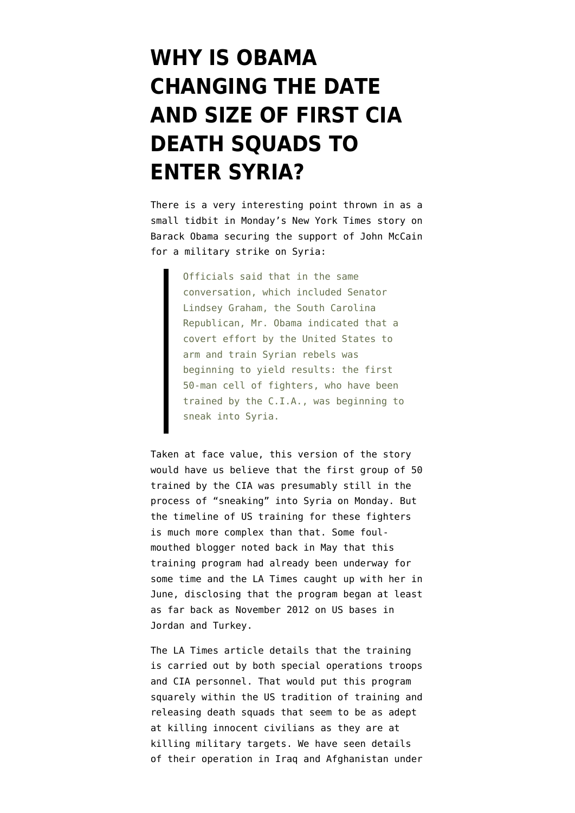## **[WHY IS OBAMA](https://www.emptywheel.net/2013/09/04/why-is-obama-changing-the-date-and-size-of-first-cia-death-squads-to-enter-syria/) [CHANGING THE DATE](https://www.emptywheel.net/2013/09/04/why-is-obama-changing-the-date-and-size-of-first-cia-death-squads-to-enter-syria/) [AND SIZE OF FIRST CIA](https://www.emptywheel.net/2013/09/04/why-is-obama-changing-the-date-and-size-of-first-cia-death-squads-to-enter-syria/) [DEATH SQUADS TO](https://www.emptywheel.net/2013/09/04/why-is-obama-changing-the-date-and-size-of-first-cia-death-squads-to-enter-syria/) [ENTER SYRIA?](https://www.emptywheel.net/2013/09/04/why-is-obama-changing-the-date-and-size-of-first-cia-death-squads-to-enter-syria/)**

There is a very interesting point thrown in as a small tidbit in Monday's [New York Times story on](http://www.nytimes.com/2013/09/03/world/middleeast/syria.html) [Barack Obama securing the support of John McCain](http://www.nytimes.com/2013/09/03/world/middleeast/syria.html) for a military strike on Syria:

> Officials said that in the same conversation, which included Senator Lindsey Graham, the South Carolina Republican, Mr. Obama indicated that a covert effort by the United States to arm and train Syrian rebels was beginning to yield results: the first 50-man cell of fighters, who have been trained by the C.I.A., was beginning to sneak into Syria.

Taken at face value, this version of the story would have us believe that the first group of 50 trained by the CIA was presumably still in the process of "sneaking" into Syria on Monday. But the timeline of US training for these fighters is much more complex than that. Some [foul](http://www.emptywheel.net/2013/05/11/petraeus-revenge/)[mouthed blogger noted back in May](http://www.emptywheel.net/2013/05/11/petraeus-revenge/) that this training program had already been underway for some time and the [LA Times caught up with her in](http://articles.latimes.com/2013/jun/21/world/la-fg-cia-syria-20130622) [June](http://articles.latimes.com/2013/jun/21/world/la-fg-cia-syria-20130622), disclosing that the program began at least as far back as November 2012 on US bases in Jordan and Turkey.

The LA Times article details that the training is carried out by both special operations troops and CIA personnel. That would put this program squarely within the US tradition of training and releasing death squads that seem to be as adept at killing innocent civilians as they are at killing military targets. We have seen [details](http://www.emptywheel.net/2013/03/07/guardian-lays-out-details-of-how-petraeus-organized-death-squads-in-iraq/) [of their operation in Iraq and Afghanistan under](http://www.emptywheel.net/2013/03/07/guardian-lays-out-details-of-how-petraeus-organized-death-squads-in-iraq/)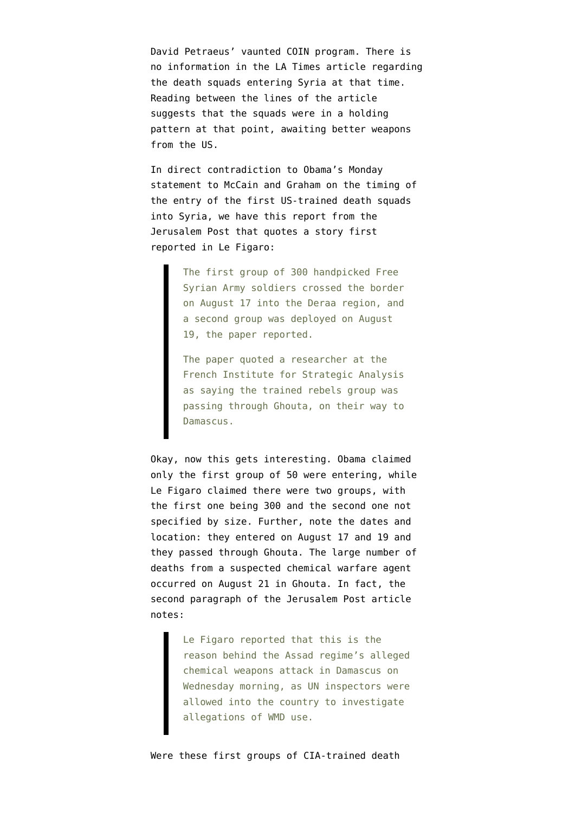[David Petraeus' vaunted COIN](http://www.emptywheel.net/2013/03/07/guardian-lays-out-details-of-how-petraeus-organized-death-squads-in-iraq/) program. There is no information in the LA Times article regarding the death squads entering Syria at that time. Reading between the lines of the article suggests that the squads were in a holding pattern at that point, awaiting better weapons from the US.

In direct contradiction to Obama's Monday statement to McCain and Graham on the timing of the entry of the first US-trained death squads into Syria, we have [this report from the](http://www.jpost.com/Middle-East/Report-Syrian-rebel-forces-trained-by-West-are-moving-towards-Damascus-324033) [Jerusalem Post](http://www.jpost.com/Middle-East/Report-Syrian-rebel-forces-trained-by-West-are-moving-towards-Damascus-324033) that quotes a story first reported in Le Figaro:

> The first group of 300 handpicked Free Syrian Army soldiers crossed the border on August 17 into the Deraa region, and a second group was deployed on August 19, the paper reported.

> The paper quoted a researcher at the French Institute for Strategic Analysis as saying the trained rebels group was passing through Ghouta, on their way to Damascus.

Okay, now this gets interesting. Obama claimed only the first group of 50 were entering, while Le Figaro claimed there were two groups, with the first one being 300 and the second one not specified by size. Further, note the dates and location: they entered on August 17 and 19 and they passed through Ghouta. The large number of deaths from a suspected chemical warfare agent occurred on August 21 in Ghouta. In fact, the second paragraph of the Jerusalem Post article notes:

> Le Figaro reported that this is the reason behind the Assad regime's alleged chemical weapons attack in Damascus on Wednesday morning, as UN inspectors were allowed into the country to investigate allegations of WMD use.

Were these first groups of CIA-trained death